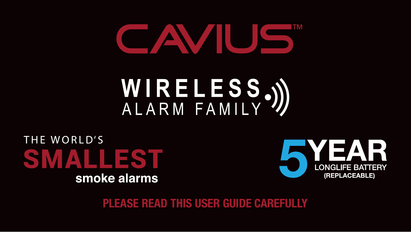## CAVIUS

# WIRELESS.)

THE WORLD'S **SMALLEST** smoke alarms



**PLEASE READ THIS USER GUIDE CAREFULLY**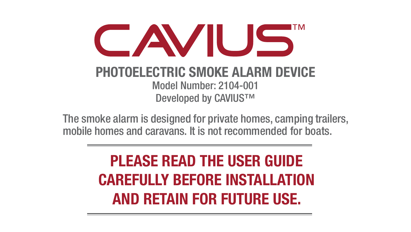

#### **PHOTOELECTRIC SMOKE ALARM DEVICE** Model Number: 2104-001 Developed by CAVIUS™

The smoke alarm is designed for private homes, camping trailers, mobile homes and caravans. It is not recommended for boats.

> **PLEASE READ THE USER GUIDE CAREFULLY BEFORE INSTALLATION AND RETAIN FOR FUTURE USE.**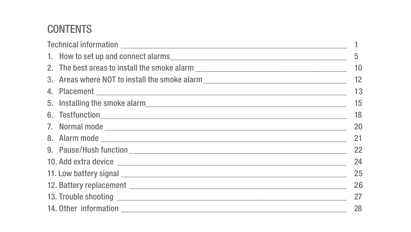#### **CONTENTS**

|  |                                                                                                                                                                                                                                      | 5  |
|--|--------------------------------------------------------------------------------------------------------------------------------------------------------------------------------------------------------------------------------------|----|
|  | 2. The best areas to install the smoke alarm                                                                                                                                                                                         | 10 |
|  | 3. Areas where NOT to install the smoke alarm                                                                                                                                                                                        | 12 |
|  |                                                                                                                                                                                                                                      | 13 |
|  |                                                                                                                                                                                                                                      | 15 |
|  |                                                                                                                                                                                                                                      | 18 |
|  |                                                                                                                                                                                                                                      | 20 |
|  |                                                                                                                                                                                                                                      | 21 |
|  |                                                                                                                                                                                                                                      | 22 |
|  |                                                                                                                                                                                                                                      | 24 |
|  | 11. Low battery signal entrance and the control of the control of the control of the control of the control of                                                                                                                       | 25 |
|  |                                                                                                                                                                                                                                      | 26 |
|  | 13. Trouble shooting <b>with a community of the community of the community of the community of the community of the community of the community of the community of the community of the community of the community of the commun</b> | 27 |
|  |                                                                                                                                                                                                                                      | 28 |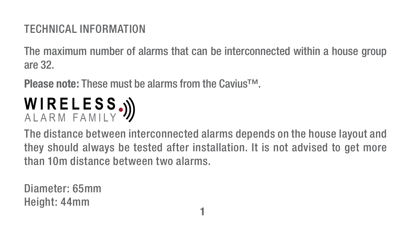#### TECHNICAL INFORMATION

The maximum number of alarms that can be interconnected within a house group are 32.

**Please note:** These must be alarms from the Cavius™.

### WIRELESS.))

The distance between interconnected alarms depends on the house layout and they should always be tested after installation. It is not advised to get more than 10m distance between two alarms.

Diameter: 65mm Height: 44mm **1**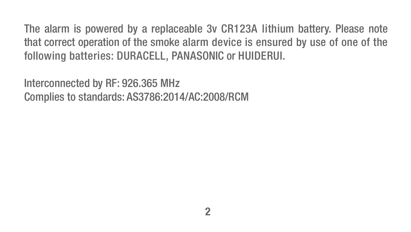The alarm is powered by a replaceable 3v CR123A lithium battery. Please note that correct operation of the smoke alarm device is ensured by use of one of the following batteries: DURACELL, PANASONIC or HUIDERUI.

Interconnected by RF: 926.365 MHz Complies to standards: AS3786:2014/AC:2008/RCM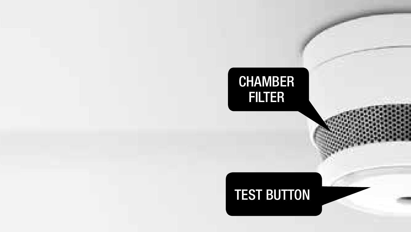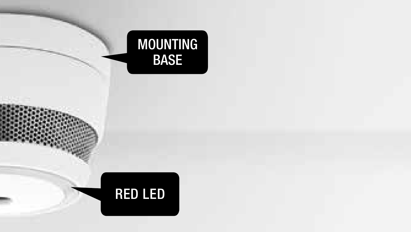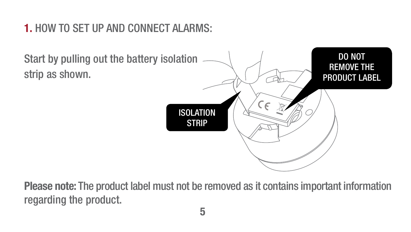#### **1.** HOW TO SET UP AND CONNECT ALARMS:



**Please note:** The product label must not be removed as it contains important information regarding the product.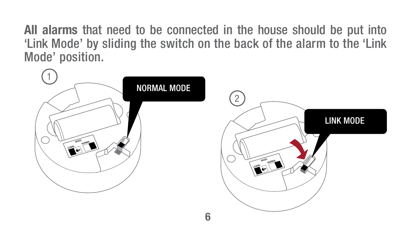**All alarms** that need to be connected in the house should be put into 'Link Mode' by sliding the switch on the back of the alarm to the 'Link Mode' position.

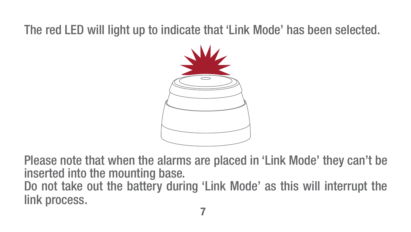#### The red LED will light up to indicate that 'Link Mode' has been selected.



Please note that when the alarms are placed in 'Link Mode' they can't be inserted into the mounting base. Do not take out the battery during 'Link Mode' as this will interrupt the link process.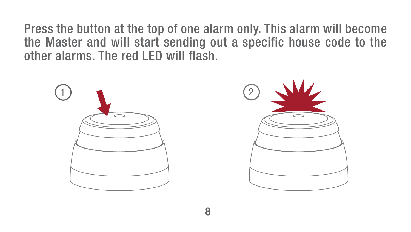Press the button at the top of one alarm only. This alarm will become the Master and will start sending out a specific house code to the other alarms. The red LED will flash.

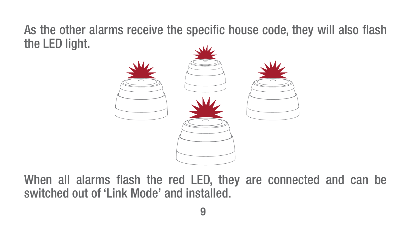As the other alarms receive the specific house code, they will also flash the LED light.



When all alarms flash the red LED, they are connected and can be switched out of 'Link Mode' and installed.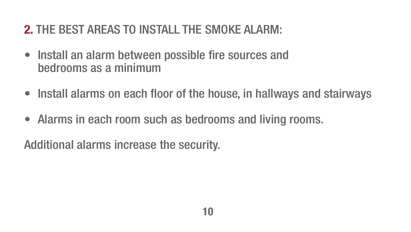#### **2. THE REST AREAS TO INSTALL THE SMOKE ALARM-**

- Install an alarm between possible fire sources and bedrooms as a minimum
- Install alarms on each floor of the house, in hallways and stairways
- Alarms in each room such as bedrooms and living rooms.

Additional alarms increase the security.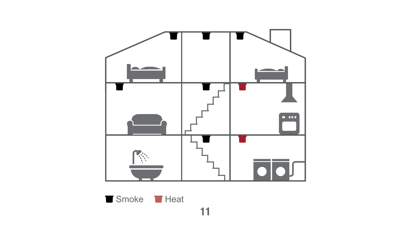

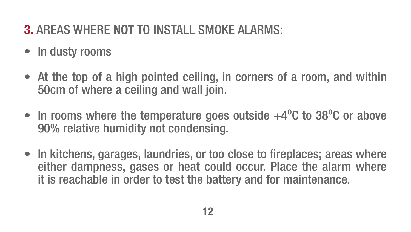#### **3.** AREAS WHERE **NOT** TO INSTALL SMOKE ALARMS:

- In dusty rooms
- At the top of a high pointed ceiling, in corners of a room, and within 50cm of where a ceiling and wall join.
- In rooms where the temperature goes outside  $+4^{\circ}$ C to 38 $^{\circ}$ C or above 90% relative humidity not condensing.
- In kitchens, garages, laundries, or too close to fireplaces; areas where either dampness, gases or heat could occur. Place the alarm where it is reachable in order to test the battery and for maintenance.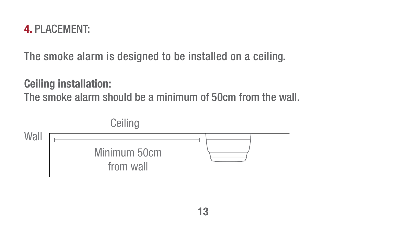#### **4.** PLACEMENT:

The smoke alarm is designed to be installed on a ceiling.

**Ceiling installation:** The smoke alarm should be a minimum of 50cm from the wall.

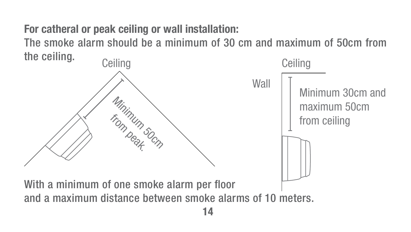**For catheral or peak ceiling or wall installation:** The smoke alarm should be a minimum of 30 cm and maximum of 50cm from the ceiling.

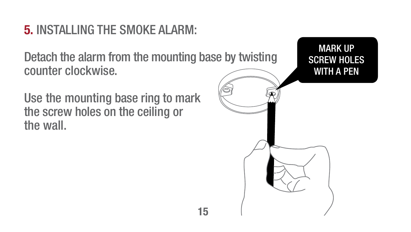#### **5.** INSTALLING THE SMOKE ALARM:

Detach the alarm from the mounting base by twisting counter clockwise.

Use the mounting base ring to mark the screw holes on the ceiling or the wall.

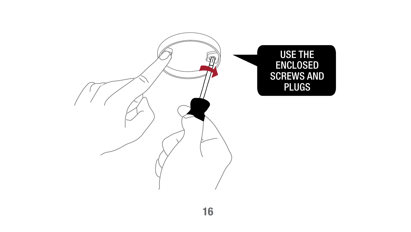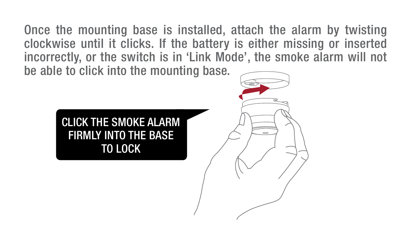Once the mounting base is installed, attach the alarm by twisting clockwise until it clicks. If the battery is either missing or inserted incorrectly, or the switch is in 'Link Mode', the smoke alarm will not be able to click into the mounting base.

#### CLICK THE SMOKE ALARM FIRMLY INTO THE BASE TO LOCK

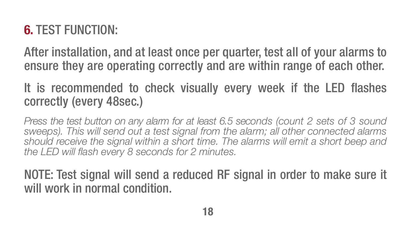#### **6.** TEST FUNCTION:

After installation, and at least once per quarter, test all of your alarms to ensure they are operating correctly and are within range of each other.

#### It is recommended to check visually every week if the LED flashes correctly (every 48sec.)

*Press the test button on any alarm for at least 6.5 seconds (count 2 sets of 3 sound sweeps). This will send out a test signal from the alarm; all other connected alarms should receive the signal within a short time. The alarms will emit a short beep and the LED will flash every 8 seconds for 2 minutes.*

NOTE: Test signal will send a reduced RF signal in order to make sure it will work in normal condition.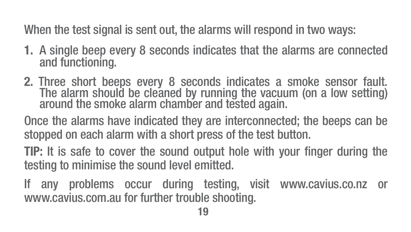When the test signal is sent out, the alarms will respond in two ways:

- **1.** A single beep every 8 seconds indicates that the alarms are connected and functioning.
- **2.** Three short beeps every 8 seconds indicates a smoke sensor fault. The alarm should be cleaned by running the vacuum (on a low setting) around the smoke alarm chamber and tested again.

Once the alarms have indicated they are interconnected; the beeps can be stopped on each alarm with a short press of the test button.

**TIP:** It is safe to cover the sound output hole with your finger during the testing to minimise the sound level emitted.

If any problems occur during testing, visit www.cavius.co.nz or www.cavius.com.au for further trouble shooting.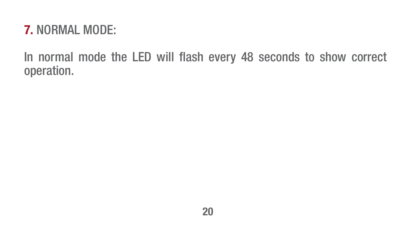#### **7.** NORMAL MODE:

In normal mode the LED will flash every 48 seconds to show correct operation.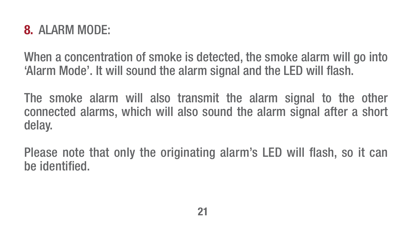#### **8.** ALARM MODE:

When a concentration of smoke is detected, the smoke alarm will go into 'Alarm Mode'. It will sound the alarm signal and the LED will flash.

The smoke alarm will also transmit the alarm signal to the other connected alarms, which will also sound the alarm signal after a short delay.

Please note that only the originating alarm's LED will flash, so it can be identified.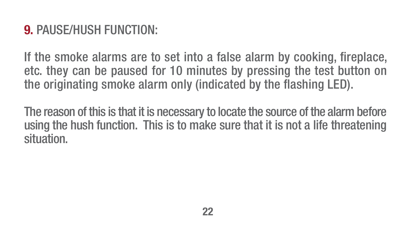#### **9.** PAUSE/HUSH FUNCTION:

If the smoke alarms are to set into a false alarm by cooking, fireplace, etc. they can be paused for 10 minutes by pressing the test button on the originating smoke alarm only (indicated by the flashing LED).

The reason of this is that it is necessary to locate the source of the alarm before using the hush function. This is to make sure that it is not a life threatening situation.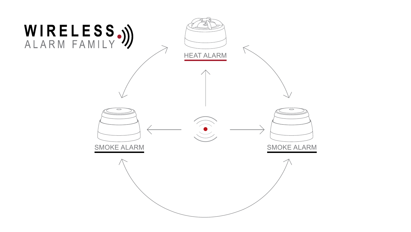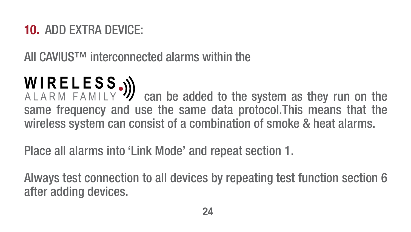#### **10.** ADD EXTRA DEVICE:

All CAVIUS™ interconnected alarms within the

**WIRELESS.**) can be added to the system as they run on the same frequency and use the same data protocol.This means that the wireless system can consist of a combination of smoke & heat alarms.

Place all alarms into 'Link Mode' and repeat section 1.

Always test connection to all devices by repeating test function section 6 after adding devices.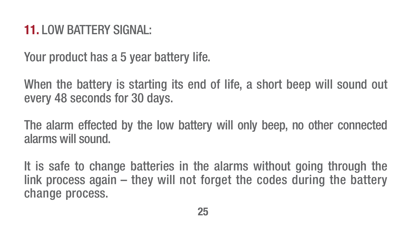#### **11.** LOW BATTERY SIGNAL:

Your product has a 5 year battery life.

When the battery is starting its end of life, a short beep will sound out every 48 seconds for 30 days.

The alarm effected by the low battery will only beep, no other connected alarms will sound.

It is safe to change batteries in the alarms without going through the link process again – they will not forget the codes during the battery change process.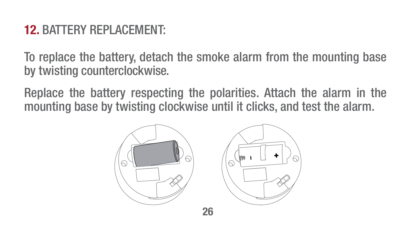#### **12.** BATTERY REPLACEMENT:

To replace the battery, detach the smoke alarm from the mounting base by twisting counterclockwise.

Replace the battery respecting the polarities. Attach the alarm in the mounting base by twisting clockwise until it clicks, and test the alarm.





**26**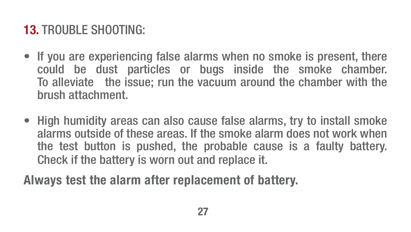#### **13.** TROUBLE SHOOTING:

- If you are experiencing false alarms when no smoke is present, there could be dust particles or bugs inside the smoke chamber. To alleviate the issue; run the vacuum around the chamber with the brush attachment.
- High humidity areas can also cause false alarms, try to install smoke alarms outside of these areas. If the smoke alarm does not work when the test button is pushed, the probable cause is a faulty battery. Check if the battery is worn out and replace it.

**Always test the alarm after replacement of battery.**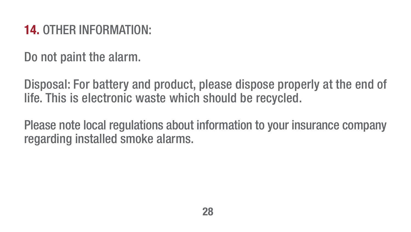#### **14.** OTHER INFORMATION:

Do not paint the alarm.

Disposal: For battery and product, please dispose properly at the end of life. This is electronic waste which should be recycled.

Please note local regulations about information to your insurance company regarding installed smoke alarms.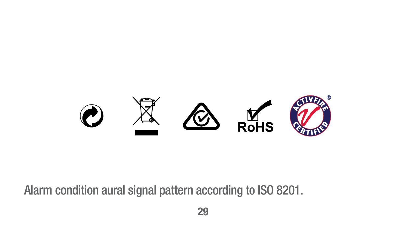

Alarm condition aural signal pattern according to ISO 8201.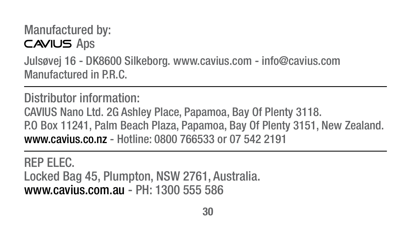```
Manufactured by:
CAVIUS Aps
Julsøvej 16 - DK8600 Silkeborg. www.cavius.com - info@cavius.com
Manufactured in P.R.C.
```
Distributor information: CAVIUS Nano Ltd. 2G Ashley Place, Papamoa, Bay Of Plenty 3118. P.O Box 11241, Palm Beach Plaza, Papamoa, Bay Of Plenty 3151, New Zealand. www.cavius.co.nz - Hotline: 0800 766533 or 07 542 2191

REP ELEC. Locked Bag 45, Plumpton, NSW 2761, Australia. www.cavius.com.au - PH: 1300 555 586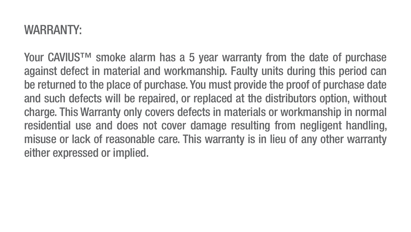#### WARRANTY:

Your CAVIUS™ smoke alarm has a 5 year warranty from the date of purchase against defect in material and workmanship. Faulty units during this period can be returned to the place of purchase. You must provide the proof of purchase date and such defects will be repaired, or replaced at the distributors option, without charge. This Warranty only covers defects in materials or workmanship in normal residential use and does not cover damage resulting from negligent handling, misuse or lack of reasonable care. This warranty is in lieu of any other warranty either expressed or implied.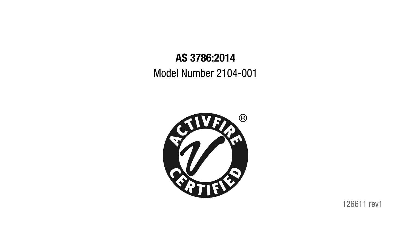#### **AS 3786:2014** Model Number 2104-001



126611 rev1